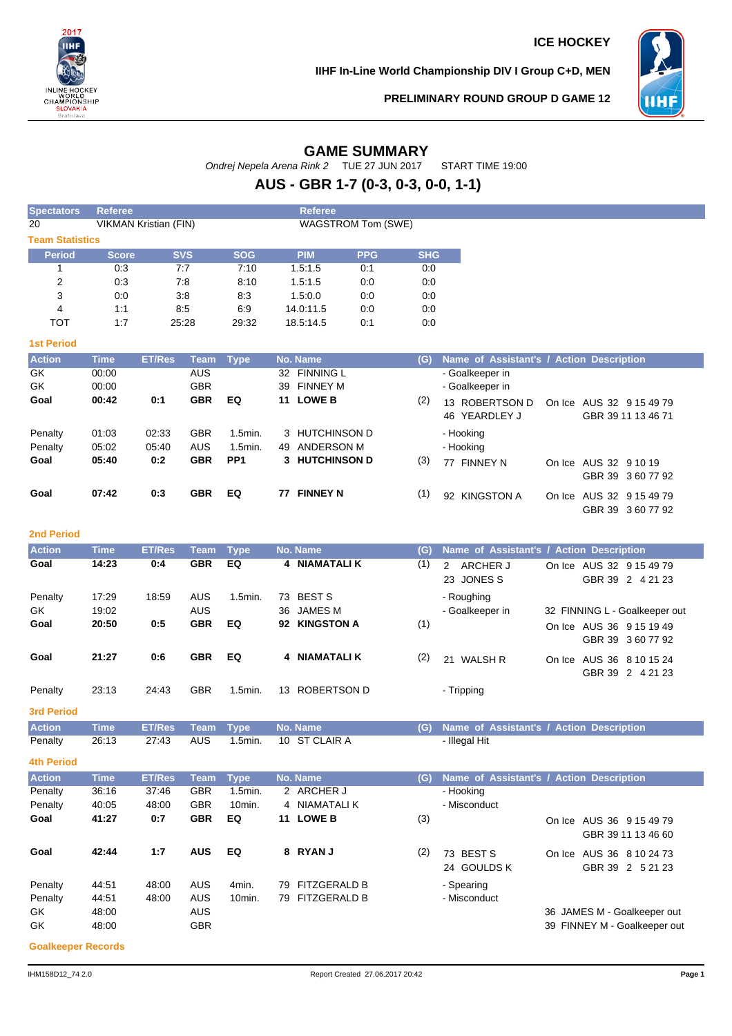

**IIHF In-Line World Championship DIV I Group C+D, MEN**



GBR 39 3 60 77 92

**PRELIMINARY ROUND GROUP D GAME 12**

# **GAME SUMMARY**

Ondrej Nepela Arena Rink 2 TUE 27 JUN 2017 START TIME 19:00

# **AUS - GBR 1-7 (0-3, 0-3, 0-0, 1-1)**

| <b>Spectators</b>      | <b>Referee</b> |                                                           |            |                 | <b>Referee</b>        |            |            |                                            |
|------------------------|----------------|-----------------------------------------------------------|------------|-----------------|-----------------------|------------|------------|--------------------------------------------|
| 20                     |                | <b>VIKMAN Kristian (FIN)</b><br><b>WAGSTROM Tom (SWE)</b> |            |                 |                       |            |            |                                            |
| <b>Team Statistics</b> |                |                                                           |            |                 |                       |            |            |                                            |
| <b>Period</b>          | <b>Score</b>   |                                                           | <b>SVS</b> | <b>SOG</b>      | <b>PIM</b>            | <b>PPG</b> | <b>SHG</b> |                                            |
|                        | 0:3            |                                                           | 7:7        | 7:10            | 1.5:1.5               | 0:1        | 0:0        |                                            |
| 2                      | 0:3            |                                                           | 7:8        | 8:10            | 1.5:1.5               | 0:0        | 0:0        |                                            |
| 3                      | 0:0            |                                                           | 3:8        | 8:3             | 1.5:0.0               | 0:0        | 0:0        |                                            |
| 4                      | 1:1            |                                                           | 8:5        | 6:9             | 14.0:11.5             | 0:0        | 0.0        |                                            |
| <b>TOT</b>             | 1:7            |                                                           | 25:28      | 29:32           | 18.5:14.5             | 0:1        | 0:0        |                                            |
| <b>1st Period</b>      |                |                                                           |            |                 |                       |            |            |                                            |
| <b>Action</b>          | <b>Time</b>    | <b>ET/Res</b>                                             | Team       | Type            | No. Name              |            | (G)        | Name of Assistant's / Action Description   |
| GK                     | 00:00          |                                                           | AUS        |                 | 32 FINNING L          |            |            | - Goalkeeper in                            |
| GK                     | 00:00          |                                                           | <b>GBR</b> |                 | <b>FINNEY M</b><br>39 |            |            | - Goalkeeper in                            |
| Goal                   | 00:42          | 0:1                                                       | <b>GBR</b> | EQ              | <b>LOWE B</b><br>11   |            | (2)        | 13 ROBERTSON D<br>On Ice AUS 32 9 15 49 79 |
|                        |                |                                                           |            |                 |                       |            |            | 46 YEARDLEY J<br>GBR 39 11 13 46 71        |
| Penalty                | 01:03          | 02:33                                                     | <b>GBR</b> | $1.5$ min.      | 3 HUTCHINSON D        |            |            | - Hooking                                  |
| Penalty                | 05:02          | 05:40                                                     | <b>AUS</b> | $1.5$ min.      | ANDERSON M<br>49      |            |            | - Hooking                                  |
| Goal                   | 05:40          | 0:2                                                       | <b>GBR</b> | PP <sub>1</sub> | 3 HUTCHINSON D        |            | (3)        | 77 FINNEY N<br>On Ice AUS 32 9 10 19       |
|                        |                |                                                           |            |                 |                       |            |            | GBR 39 360 77 92                           |

#### **2nd Period**

| <b>Action</b>     | <b>Time</b>    | <b>ET/Res</b> | Team                     | Tvpe       |    | No. Name                    | (G) | Name of Assistant's / Action Description |  |                                              |
|-------------------|----------------|---------------|--------------------------|------------|----|-----------------------------|-----|------------------------------------------|--|----------------------------------------------|
| Goal              | 14:23          | 0:4           | <b>GBR</b>               | EQ         |    | 4 NIAMATALI K               | (1) | ARCHER J<br>$\mathcal{P}$<br>23 JONES S  |  | On Ice AUS 32 9 15 49 79<br>GBR 39 2 4 21 23 |
| Penalty<br>GK.    | 17:29<br>19:02 | 18:59         | <b>AUS</b><br><b>AUS</b> | 1.5min.    | 73 | <b>BEST S</b><br>36 JAMES M |     | - Roughing<br>- Goalkeeper in            |  | 32 FINNING L - Goalkeeper out                |
| Goal              | 20:50          | 0:5           | <b>GBR</b>               | EQ         |    | 92 KINGSTON A               | (1) |                                          |  | On Ice AUS 36 9 15 19 49<br>GBR 39 360 77 92 |
| Goal              | 21:27          | 0:6           | <b>GBR</b>               | EQ         |    | 4 NIAMATALI K               | (2) | 21 WALSH R                               |  | On Ice AUS 36 8 10 15 24<br>GBR 39 2 4 21 23 |
| Penalty           | 23:13          | 24:43         | <b>GBR</b>               | $1.5$ min. | 13 | ROBERTSON D                 |     | - Tripping                               |  |                                              |
| <b>3rd Period</b> |                |               |                          |            |    |                             |     |                                          |  |                                              |

**Goal 07:42 0:3 GBR EQ 77 FINNEY N** (1) 92 KINGSTON A On Ice AUS 32 9 15 49 79

Action Time ET/Res Team Type No. Name<br> **Penalty 26:13 27:43 AUS 1.5min. 10 ST CLAIR A The The The The The The Penalty 26:13 27:43 AUS 1.5min. 10 ST CLAIR A** Penalty 26:13 27:43 AUS 1.5min. 10 ST CLAIR A - Illegal Hit

#### **4th Period**

| <b>Action</b> | <b>Time</b> | <b>ET/Res</b> | Team       | <b>Type</b>       |     | No. Name            | (G) | Name of Assistant's / Action Description |        |                                         |
|---------------|-------------|---------------|------------|-------------------|-----|---------------------|-----|------------------------------------------|--------|-----------------------------------------|
| Penalty       | 36:16       | 37:46         | <b>GBR</b> | $1.5$ min.        |     | 2 ARCHER J          |     | - Hooking                                |        |                                         |
| Penalty       | 40:05       | 48:00         | <b>GBR</b> | 10 <sub>min</sub> |     | 4 NIAMATALI K       |     | - Misconduct                             |        |                                         |
| Goal          | 41:27       | 0:7           | <b>GBR</b> | EQ                | 11  | <b>LOWE B</b>       | (3) |                                          | On Ice | AUS 36 9 15 49 79<br>GBR 39 11 13 46 60 |
| Goal          | 42:44       | 1:7           | <b>AUS</b> | EQ                |     | 8 RYAN J            | (2) | 73 BEST S<br>24 GOULDS K                 | On Ice | AUS 36 8 10 24 73<br>GBR 39 2 5 21 23   |
| Penalty       | 44:51       | 48:00         | AUS        | 4min.             | 79  | <b>FITZGERALD B</b> |     | - Spearing                               |        |                                         |
| Penalty       | 44:51       | 48:00         | <b>AUS</b> | 10 <sub>min</sub> | 79. | <b>FITZGERALD B</b> |     | - Misconduct                             |        |                                         |
| GK            | 48:00       |               | <b>AUS</b> |                   |     |                     |     |                                          |        | 36 JAMES M - Goalkeeper out             |
| GK            | 48:00       |               | <b>GBR</b> |                   |     |                     |     |                                          |        | 39 FINNEY M - Goalkeeper out            |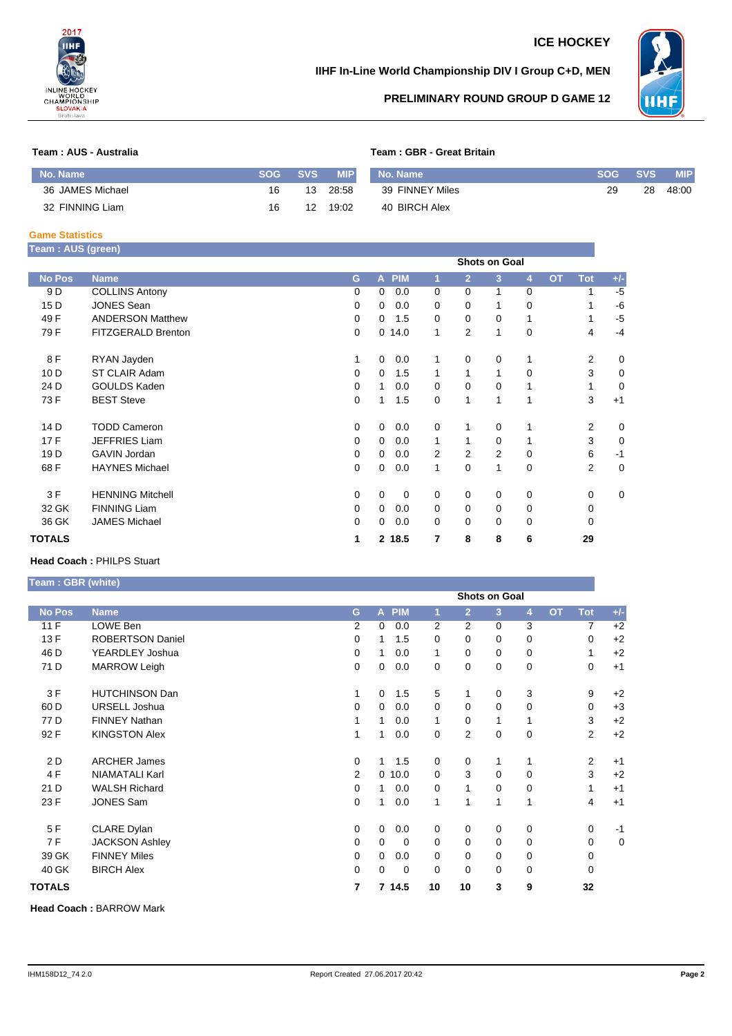

## **ICE HOCKEY**

### **IIHF In-Line World Championship DIV I Group C+D, MEN**



### **PRELIMINARY ROUND GROUP D GAME 12**

#### **Team : AUS - Australia Team : GBR - Great Britain**

| No. Name         | <b>SOG</b> | <b>SVS</b> | <b>MIP</b> | No. Name        | SOG 4 | <b>SVS</b> | <b>MIP</b> |
|------------------|------------|------------|------------|-----------------|-------|------------|------------|
| 36 JAMES Michael | 16         | 13         | 28:58      | 39 FINNEY Miles | 29    | 28         | 48:00      |
| 32 FINNING Liam  | 16         | 12         | 19:02      | 40 BIRCH Alex   |       |            |            |

#### **Game Statistics**

| Team : AUS (green) |                         |                      |             |        |          |                |          |                |           |                |       |  |
|--------------------|-------------------------|----------------------|-------------|--------|----------|----------------|----------|----------------|-----------|----------------|-------|--|
|                    |                         | <b>Shots on Goal</b> |             |        |          |                |          |                |           |                |       |  |
| <b>No Pos</b>      | <b>Name</b>             | G                    |             | A PIM  | 1        | $\overline{2}$ | 3        | $\overline{4}$ | <b>OT</b> | <b>Tot</b>     | $+/-$ |  |
| 9 D                | <b>COLLINS Antony</b>   | 0                    | 0           | 0.0    | 0        | $\Omega$       | 1        | 0              |           |                | -5    |  |
| 15 <sub>D</sub>    | <b>JONES Sean</b>       | 0                    | 0           | 0.0    | $\Omega$ | $\Omega$       | 1        | 0              |           |                | -6    |  |
| 49 F               | <b>ANDERSON Matthew</b> | 0                    | $\Omega$    | 1.5    | $\Omega$ | $\mathbf 0$    | 0        | 1              |           | 1              | $-5$  |  |
| 79 F               | FITZGERALD Brenton      | 0                    |             | 0.14.0 | 1        | 2              | 1        | 0              |           | 4              | $-4$  |  |
| 8 F                | RYAN Jayden             | 1                    | 0           | 0.0    |          | 0              | 0        | 1              |           | 2              | 0     |  |
| 10 <sub>D</sub>    | ST CLAIR Adam           | 0                    | 0           | 1.5    | 1        | 1              | 1        | 0              |           | 3              | 0     |  |
| 24 D               | GOULDS Kaden            | $\Omega$             | 1.          | 0.0    | $\Omega$ | 0              | 0        | 1              |           | 1              | 0     |  |
| 73 F               | <b>BEST Steve</b>       | 0                    | 1           | 1.5    | 0        | 1              | 1        | 1              |           | 3              | $+1$  |  |
| 14 <sub>D</sub>    | <b>TODD Cameron</b>     | 0                    | $\mathbf 0$ | 0.0    | $\Omega$ | 1              | 0        | 1              |           | $\overline{2}$ | 0     |  |
| 17 F               | <b>JEFFRIES Liam</b>    | 0                    | 0           | 0.0    | 1        | 1              | 0        | 1              |           | 3              | 0     |  |
| 19 <sub>D</sub>    | <b>GAVIN Jordan</b>     | 0                    | 0           | 0.0    | 2        | 2              | 2        | 0              |           | 6              | $-1$  |  |
| 68 F               | <b>HAYNES Michael</b>   | 0                    | 0           | 0.0    | 1        | 0              | 1        | 0              |           | 2              | 0     |  |
| 3F                 | <b>HENNING Mitchell</b> | 0                    | 0           | 0      | 0        | 0              | 0        | 0              |           | 0              | 0     |  |
| 32 GK              | <b>FINNING Liam</b>     | 0                    | 0           | 0.0    | 0        | 0              | 0        | 0              |           | 0              |       |  |
| 36 GK              | <b>JAMES Michael</b>    | 0                    | 0           | 0.0    | $\Omega$ | $\Omega$       | $\Omega$ | $\mathbf 0$    |           | 0              |       |  |
| <b>TOTALS</b>      |                         | 1                    |             | 2 18.5 | 7        | 8              | 8        | 6              |           | 29             |       |  |

#### **Head Coach :** PHILPS Stuart

**Team : GBR (white)**

|               |                         |                | <b>Shots on Goal</b> |          |                |                |          |             |           |             |       |
|---------------|-------------------------|----------------|----------------------|----------|----------------|----------------|----------|-------------|-----------|-------------|-------|
| <b>No Pos</b> | <b>Name</b>             | G              |                      | A PIM    | ٢I.            | $\overline{2}$ | 3        | 4           | <b>OT</b> | <b>Tot</b>  | $+/-$ |
| 11F           | LOWE Ben                | $\overline{2}$ | 0                    | 0.0      | $\overline{2}$ | $\overline{2}$ | $\Omega$ | 3           |           | 7           | $+2$  |
| 13 F          | <b>ROBERTSON Daniel</b> | 0              | 1.                   | 1.5      | $\Omega$       | $\Omega$       | 0        | 0           |           | 0           | $+2$  |
| 46 D          | YEARDLEY Joshua         | $\Omega$       | 1.                   | 0.0      | 1              | $\Omega$       | 0        | 0           |           | 1           | $+2$  |
| 71 D          | <b>MARROW Leigh</b>     | 0              | 0                    | 0.0      | $\mathbf 0$    | 0              | 0        | 0           |           | 0           | $+1$  |
| 3 F           | <b>HUTCHINSON Dan</b>   | 1              | 0                    | 1.5      | 5              | 1              | 0        | 3           |           | 9           | $+2$  |
| 60 D          | <b>URSELL Joshua</b>    | $\Omega$       | 0                    | 0.0      | $\Omega$       | $\Omega$       | 0        | 0           |           | $\mathbf 0$ | $+3$  |
| 77 D          | <b>FINNEY Nathan</b>    | 1              | 1                    | 0.0      | 1              | $\Omega$       | 1        | 1           |           | 3           | $+2$  |
| 92 F          | <b>KINGSTON Alex</b>    | 1              | 1                    | 0.0      | $\Omega$       | 2              | 0        | $\mathbf 0$ |           | 2           | $+2$  |
| 2 D           | <b>ARCHER James</b>     | $\Omega$       | $\mathbf{1}$         | 1.5      | $\Omega$       | $\Omega$       | 1        | 1           |           | 2           | $+1$  |
| 4F            | <b>NIAMATALI Karl</b>   | $\overline{2}$ |                      | 0.10.0   | $\Omega$       | 3              | 0        | $\mathbf 0$ |           | 3           | $+2$  |
| 21 D          | <b>WALSH Richard</b>    | $\Omega$       | $\mathbf{1}$         | 0.0      | $\Omega$       | 1              | 0        | 0           |           | 1           | $+1$  |
| 23 F          | <b>JONES Sam</b>        | $\Omega$       | 1                    | 0.0      | 1              | 1              | 1        | 1           |           | 4           | $+1$  |
| 5F            | CLARE Dylan             | 0              | 0                    | 0.0      | $\Omega$       | 0              | 0        | 0           |           | 0           | $-1$  |
| 7 F           | <b>JACKSON Ashley</b>   | $\Omega$       | 0                    | $\Omega$ | $\Omega$       | $\Omega$       | 0        | 0           |           | 0           | 0     |
| 39 GK         | <b>FINNEY Miles</b>     | 0              | 0                    | 0.0      | 0              | 0              | 0        | 0           |           | 0           |       |
| 40 GK         | <b>BIRCH Alex</b>       | $\Omega$       | 0                    | 0        | $\Omega$       | $\Omega$       | 0        | 0           |           | 0           |       |
| <b>TOTALS</b> |                         | 7              |                      | 7 14.5   | 10             | 10             | 3        | 9           |           | 32          |       |

**Head Coach :** BARROW Mark